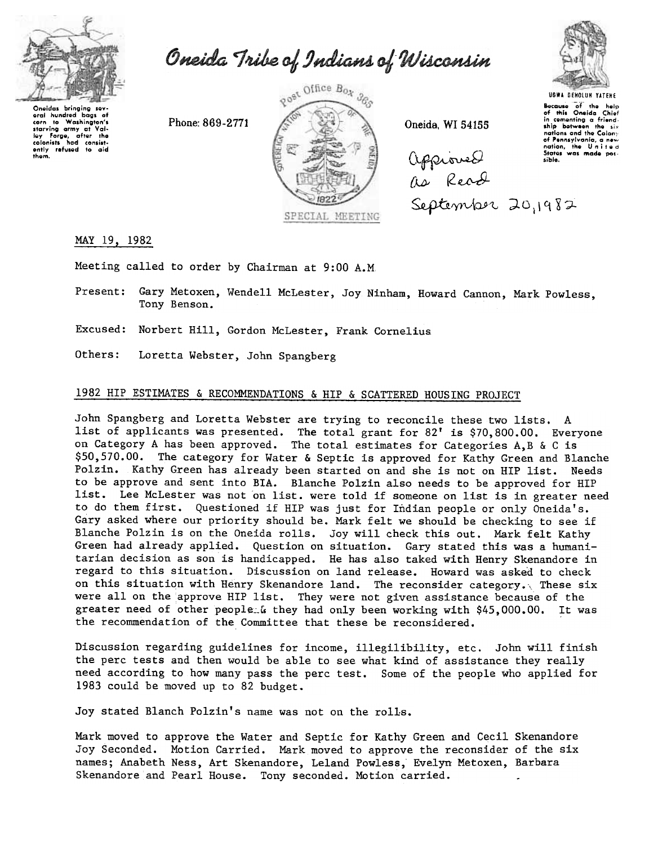

Oneida Tribe of Indians of Wisconsin

Oneidas bringing sev-<br>eral hundred bags of<br>corn to Washington's<br>starving army at Val-<br>ley forge, after the<br>colonists had consist-<br>ently refused to aid<br>them.



 $(\text{MQ}_\text{Q} \text{NQ}_\text{Q} \text{NQ}_\text{Q} \text{NQ}_\text{Q} \text{NQ}_\text{Q} \text{NQ}_\text{Q} \text{NQ}_\text{Q} \text{NQ}_\text{Q} \text{NQ}_\text{Q} \text{NQ}_\text{Q} \text{NQ}_\text{Q} \text{NQ}_\text{Q} \text{NQ}_\text{Q} \text{NQ}_\text{Q} \text{NQ}_\text{Q} \text{NQ}_\text{Q} \text{NQ}_\text{Q} \text{NQ}_\text{Q} \text{NQ}_\text{Q} \text{NQ}_\text{Q}$ [lL).- (Z ~  $\epsilon$ eptember 20,1982



Because of the help<br>of this Oneida Chief<br>in comonting a friend<br>ship between the six<br>nations and the Colony of Pennsylvania, a new<br>nation, the United

MAY 19, 1982

Meeting called to order by Chairman at 9:00 A.M

Present: Gary Metoxen, Wendell McLester, Joy Ninham, Howard Cannon, Mark Powless, Tony Benson.

SPECIAL MEETING

Excused: Norbert Hill, Gordon McLester, Frank Cornelius

Others: Loretta Webster, John Spangberg

## 1982 HIP ESTIMATES & RECOMMENDATIONS & HIP & SCATTERED HOUSING PROJECT

John Spangberg and Loretta Webster are trying to reconcile these two lists. A list of applicants was presented. The total grant for 82' is \$70,800.00. Everyone on Category A has been approved. The total estimates for Categories A,B & C is \$50,570.00. The category for Water & Septic is approved for Kathy Green and Blanche Polzin. Kathy Green has already been started on and she is not on HIP list. Needs to be approve and sent into BIA. Blanche Polzin also needs to be approved for HIP list. Lee McLester was not on list. were told if someone on list is in greater need to do them first. Questioned if HIP was just for Indian people or only Oneida's. Gary asked where our priority should be. Mark felt we should be checking to see if Blanche Polzin is on the Oneida rolls. Joy will check this out. Mark felt Kathy Green had already applied. Question on situation. Gary stated this was a humanitarian decision as son is handicapped. He has also taked with Henry Skenandore in regard to this situation. Discussion on land release. Howard was asked to check on this situation with Henry Skenandore land. The reconsider category. These six were all on the approve HIP list. They were not given assistance because of the greater need of other people: G they had only been working with \$45,000.00. It was the recommendation of the Committee that these be reconsidered.

Discussion regarding guidelines for income, illegilibility, etc. John will finish the perc tests and then would be able to see what kind of assistance they really need according to how many pass the perc test. Some of the people who applied for 1983 could be moved up to 82 budget.

Joy stated Blanch Polzin's name was not on the rolls.

Mark moved to approve the Water and Septic for Kathy Green and Cecil Skenandore Joy Seconded. Motion Carried. Mark moved to approve the reconsider of the six names; Anabeth Ness, Art Skenandore, Leland Powless, Evelyn Metoxen, Barbara Skenandore and Pearl House. Tony seconded. Motion carried.